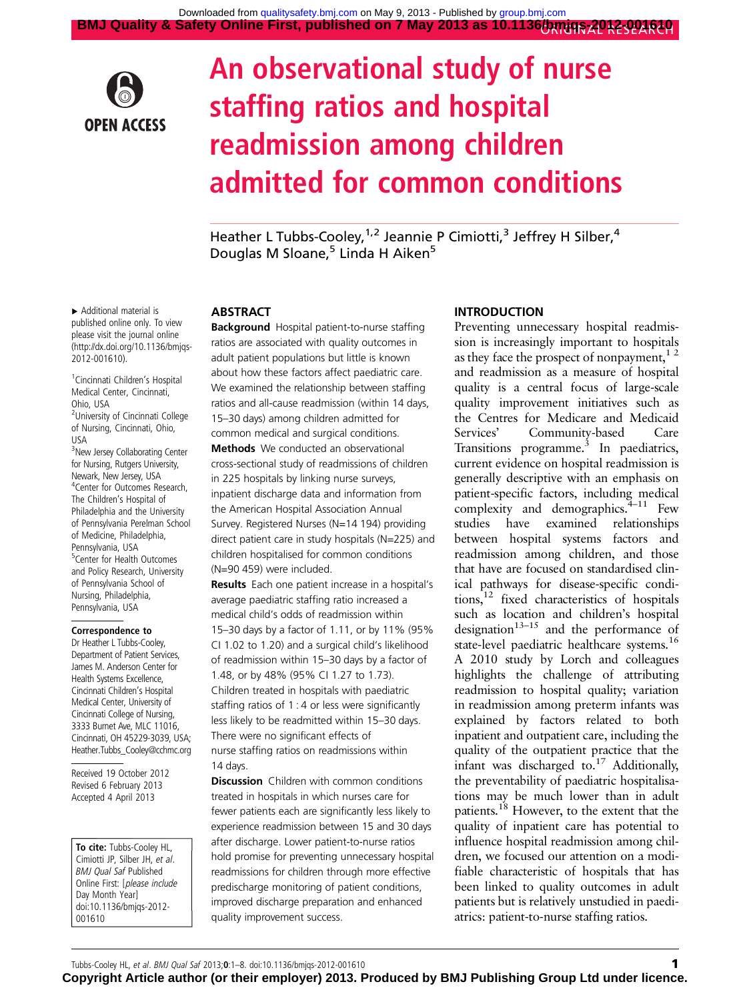

# An observational study of nurse staffing ratios and hospital readmission among children admitted for common conditions

Heather L Tubbs-Cooley,<sup>1,2</sup> Jeannie P Cimiotti,<sup>3</sup> Jeffrey H Silber,<sup>4</sup> Douglas M Sloane,  $5$  Linda H Aiken<sup>5</sup>

▸ Additional material is published online only. To view please visit the journal online ([http://dx.doi.org/10.1136/bmjqs-](http://dx.doi.org/10.1136/bmjqs-2012-001610)[2012-001610](http://dx.doi.org/10.1136/bmjqs-2012-001610)).

<sup>1</sup> Cincinnati Children's Hospital Medical Center, Cincinnati, Ohio, USA

<sup>2</sup>University of Cincinnati College of Nursing, Cincinnati, Ohio, USA

<sup>3</sup>New Jersey Collaborating Center for Nursing, Rutgers University, Newark, New Jersey, USA 4 Center for Outcomes Research, The Children's Hospital of Philadelphia and the University of Pennsylvania Perelman School of Medicine, Philadelphia, Pennsylvania, USA <sup>5</sup>Center for Health Outcomes and Policy Research, University of Pennsylvania School of Nursing, Philadelphia, Pennsylvania, USA

#### Correspondence to

Dr Heather L Tubbs-Cooley, Department of Patient Services, James M. Anderson Center for Health Systems Excellence, Cincinnati Children's Hospital Medical Center, University of Cincinnati College of Nursing, 3333 Burnet Ave, MLC 11016, Cincinnati, OH 45229-3039, USA; Heather.Tubbs\_Cooley@cchmc.org

Received 19 October 2012 Revised 6 February 2013 Accepted 4 April 2013

To cite: Tubbs-Cooley HL, Cimiotti JP, Silber JH, et al. BMJ Qual Saf Published Online First: [please include Day Month Year] doi:10.1136/bmjqs-2012- 001610

## ABSTRACT

Background Hospital patient-to-nurse staffing ratios are associated with quality outcomes in adult patient populations but little is known about how these factors affect paediatric care. We examined the relationship between staffing ratios and all-cause readmission (within 14 days, 15–30 days) among children admitted for common medical and surgical conditions. Methods We conducted an observational cross-sectional study of readmissions of children in 225 hospitals by linking nurse surveys, inpatient discharge data and information from the American Hospital Association Annual Survey. Registered Nurses (N=14 194) providing direct patient care in study hospitals (N=225) and children hospitalised for common conditions (N=90 459) were included.

Results Each one patient increase in a hospital's average paediatric staffing ratio increased a medical child's odds of readmission within 15–30 days by a factor of 1.11, or by 11% (95% CI 1.02 to 1.20) and a surgical child's likelihood of readmission within 15–30 days by a factor of 1.48, or by 48% (95% CI 1.27 to 1.73). Children treated in hospitals with paediatric staffing ratios of 1 : 4 or less were significantly less likely to be readmitted within 15–30 days. There were no significant effects of nurse staffing ratios on readmissions within 14 days.

**Discussion** Children with common conditions treated in hospitals in which nurses care for fewer patients each are significantly less likely to experience readmission between 15 and 30 days after discharge. Lower patient-to-nurse ratios hold promise for preventing unnecessary hospital readmissions for children through more effective predischarge monitoring of patient conditions, improved discharge preparation and enhanced quality improvement success.

## **INTRODUCTION**

Preventing unnecessary hospital readmission is increasingly important to hospitals as they face the prospect of nonpayment,  $1<sup>2</sup>$ and readmission as a measure of hospital quality is a central focus of large-scale quality improvement initiatives such as the Centres for Medicare and Medicaid Services' Community-based Care Transitions programme.<sup>3</sup> In paediatrics, current evidence on hospital readmission is generally descriptive with an emphasis on patient-specific factors, including medical complexity and demographics. $4-11$  Few studies have examined relationships between hospital systems factors and readmission among children, and those that have are focused on standardised clinical pathways for disease-specific conditions,12 fixed characteristics of hospitals such as location and children's hospital designation<sup>13–15</sup> and the performance of state-level paediatric healthcare systems.16 A 2010 study by Lorch and colleagues highlights the challenge of attributing readmission to hospital quality; variation in readmission among preterm infants was explained by factors related to both inpatient and outpatient care, including the quality of the outpatient practice that the infant was discharged to.<sup>17</sup> Additionally, the preventability of paediatric hospitalisations may be much lower than in adult patients.<sup>18</sup> However, to the extent that the quality of inpatient care has potential to influence hospital readmission among children, we focused our attention on a modifiable characteristic of hospitals that has been linked to quality outcomes in adult patients but is relatively unstudied in paediatrics: patient-to-nurse staffing ratios.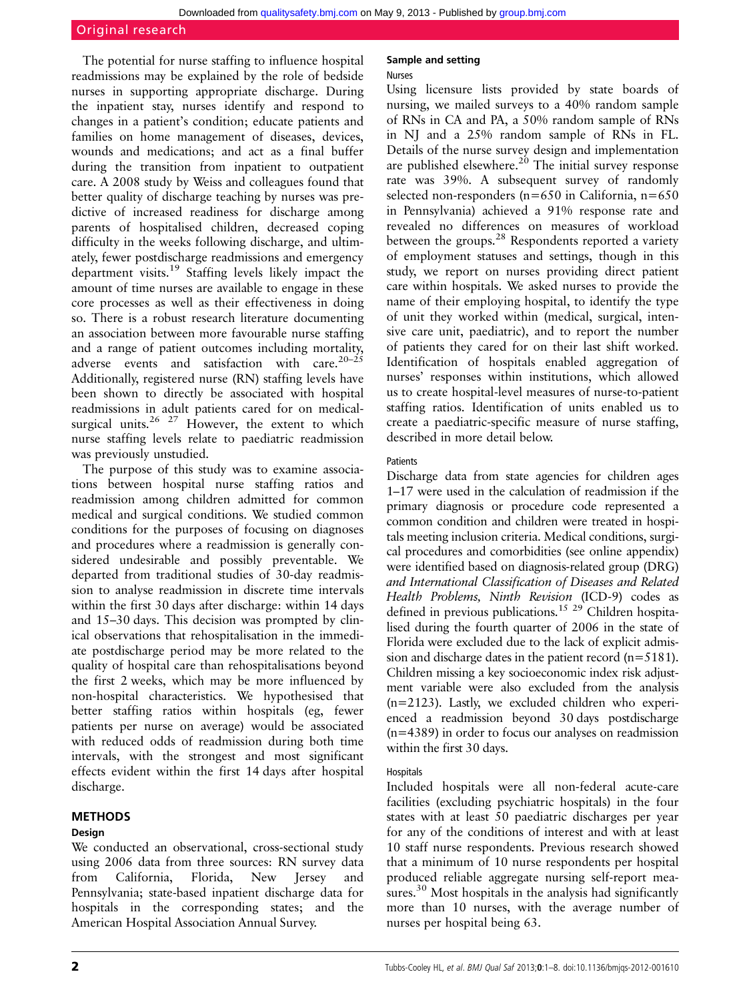## Original research

The potential for nurse staffing to influence hospital readmissions may be explained by the role of bedside nurses in supporting appropriate discharge. During the inpatient stay, nurses identify and respond to changes in a patient's condition; educate patients and families on home management of diseases, devices, wounds and medications; and act as a final buffer during the transition from inpatient to outpatient care. A 2008 study by Weiss and colleagues found that better quality of discharge teaching by nurses was predictive of increased readiness for discharge among parents of hospitalised children, decreased coping difficulty in the weeks following discharge, and ultimately, fewer postdischarge readmissions and emergency department visits.<sup>19</sup> Staffing levels likely impact the amount of time nurses are available to engage in these core processes as well as their effectiveness in doing so. There is a robust research literature documenting an association between more favourable nurse staffing and a range of patient outcomes including mortality, adverse events and satisfaction with care.<sup>20–25</sup> Additionally, registered nurse (RN) staffing levels have been shown to directly be associated with hospital readmissions in adult patients cared for on medicalsurgical units.<sup>26 27</sup> However, the extent to which nurse staffing levels relate to paediatric readmission was previously unstudied.

The purpose of this study was to examine associations between hospital nurse staffing ratios and readmission among children admitted for common medical and surgical conditions. We studied common conditions for the purposes of focusing on diagnoses and procedures where a readmission is generally considered undesirable and possibly preventable. We departed from traditional studies of 30-day readmission to analyse readmission in discrete time intervals within the first 30 days after discharge: within 14 days and 15–30 days. This decision was prompted by clinical observations that rehospitalisation in the immediate postdischarge period may be more related to the quality of hospital care than rehospitalisations beyond the first 2 weeks, which may be more influenced by non-hospital characteristics. We hypothesised that better staffing ratios within hospitals (eg, fewer patients per nurse on average) would be associated with reduced odds of readmission during both time intervals, with the strongest and most significant effects evident within the first 14 days after hospital discharge.

## METHODS

## Design

We conducted an observational, cross-sectional study using 2006 data from three sources: RN survey data from California, Florida, New Jersey and Pennsylvania; state-based inpatient discharge data for hospitals in the corresponding states; and the American Hospital Association Annual Survey.

## Sample and setting

## Nurses

Using licensure lists provided by state boards of nursing, we mailed surveys to a 40% random sample of RNs in CA and PA, a 50% random sample of RNs in NJ and a 25% random sample of RNs in FL. Details of the nurse survey design and implementation are published elsewhere.<sup>20</sup> The initial survey response rate was 39%. A subsequent survey of randomly selected non-responders (n=650 in California, n=650 in Pennsylvania) achieved a 91% response rate and revealed no differences on measures of workload between the groups.<sup>28</sup> Respondents reported a variety of employment statuses and settings, though in this study, we report on nurses providing direct patient care within hospitals. We asked nurses to provide the name of their employing hospital, to identify the type of unit they worked within (medical, surgical, intensive care unit, paediatric), and to report the number of patients they cared for on their last shift worked. Identification of hospitals enabled aggregation of nurses' responses within institutions, which allowed us to create hospital-level measures of nurse-to-patient staffing ratios. Identification of units enabled us to create a paediatric-specific measure of nurse staffing, described in more detail below.

## **Patients**

Discharge data from state agencies for children ages 1–17 were used in the calculation of readmission if the primary diagnosis or procedure code represented a common condition and children were treated in hospitals meeting inclusion criteria. Medical conditions, surgical procedures and comorbidities (see online appendix) were identified based on diagnosis-related group (DRG) and International Classification of Diseases and Related Health Problems, Ninth Revision (ICD-9) codes as defined in previous publications.<sup>15 29</sup> Children hospitalised during the fourth quarter of 2006 in the state of Florida were excluded due to the lack of explicit admission and discharge dates in the patient record (n=5181). Children missing a key socioeconomic index risk adjustment variable were also excluded from the analysis (n=2123). Lastly, we excluded children who experienced a readmission beyond 30 days postdischarge (n=4389) in order to focus our analyses on readmission within the first 30 days.

## Hospitals

Included hospitals were all non-federal acute-care facilities (excluding psychiatric hospitals) in the four states with at least 50 paediatric discharges per year for any of the conditions of interest and with at least 10 staff nurse respondents. Previous research showed that a minimum of 10 nurse respondents per hospital produced reliable aggregate nursing self-report measures.<sup>30</sup> Most hospitals in the analysis had significantly more than 10 nurses, with the average number of nurses per hospital being 63.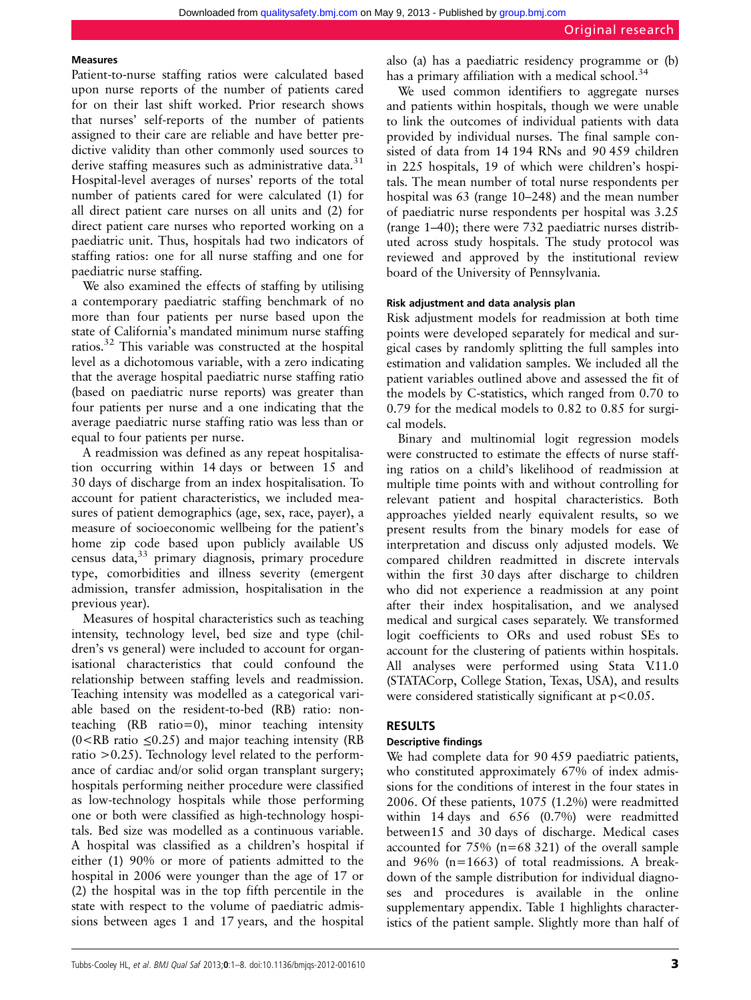#### Measures

Patient-to-nurse staffing ratios were calculated based upon nurse reports of the number of patients cared for on their last shift worked. Prior research shows that nurses' self-reports of the number of patients assigned to their care are reliable and have better predictive validity than other commonly used sources to derive staffing measures such as administrative data.<sup>31</sup> Hospital-level averages of nurses' reports of the total number of patients cared for were calculated (1) for all direct patient care nurses on all units and (2) for direct patient care nurses who reported working on a paediatric unit. Thus, hospitals had two indicators of staffing ratios: one for all nurse staffing and one for paediatric nurse staffing.

We also examined the effects of staffing by utilising a contemporary paediatric staffing benchmark of no more than four patients per nurse based upon the state of California's mandated minimum nurse staffing ratios.<sup>32</sup> This variable was constructed at the hospital level as a dichotomous variable, with a zero indicating that the average hospital paediatric nurse staffing ratio (based on paediatric nurse reports) was greater than four patients per nurse and a one indicating that the average paediatric nurse staffing ratio was less than or equal to four patients per nurse.

A readmission was defined as any repeat hospitalisation occurring within 14 days or between 15 and 30 days of discharge from an index hospitalisation. To account for patient characteristics, we included measures of patient demographics (age, sex, race, payer), a measure of socioeconomic wellbeing for the patient's home zip code based upon publicly available US census data,<sup>33</sup> primary diagnosis, primary procedure type, comorbidities and illness severity (emergent admission, transfer admission, hospitalisation in the previous year).

Measures of hospital characteristics such as teaching intensity, technology level, bed size and type (children's vs general) were included to account for organisational characteristics that could confound the relationship between staffing levels and readmission. Teaching intensity was modelled as a categorical variable based on the resident-to-bed (RB) ratio: nonteaching (RB ratio=0), minor teaching intensity  $(0 < R$ B ratio  $\leq 0.25$ ) and major teaching intensity (RB ratio >0.25). Technology level related to the performance of cardiac and/or solid organ transplant surgery; hospitals performing neither procedure were classified as low-technology hospitals while those performing one or both were classified as high-technology hospitals. Bed size was modelled as a continuous variable. A hospital was classified as a children's hospital if either (1) 90% or more of patients admitted to the hospital in 2006 were younger than the age of 17 or (2) the hospital was in the top fifth percentile in the state with respect to the volume of paediatric admissions between ages 1 and 17 years, and the hospital also (a) has a paediatric residency programme or (b) has a primary affiliation with a medical school.<sup>34</sup>

We used common identifiers to aggregate nurses and patients within hospitals, though we were unable to link the outcomes of individual patients with data provided by individual nurses. The final sample consisted of data from 14 194 RNs and 90 459 children in 225 hospitals, 19 of which were children's hospitals. The mean number of total nurse respondents per hospital was 63 (range 10–248) and the mean number of paediatric nurse respondents per hospital was 3.25 (range 1–40); there were 732 paediatric nurses distributed across study hospitals. The study protocol was reviewed and approved by the institutional review board of the University of Pennsylvania.

### Risk adjustment and data analysis plan

Risk adjustment models for readmission at both time points were developed separately for medical and surgical cases by randomly splitting the full samples into estimation and validation samples. We included all the patient variables outlined above and assessed the fit of the models by C-statistics, which ranged from 0.70 to 0.79 for the medical models to 0.82 to 0.85 for surgical models.

Binary and multinomial logit regression models were constructed to estimate the effects of nurse staffing ratios on a child's likelihood of readmission at multiple time points with and without controlling for relevant patient and hospital characteristics. Both approaches yielded nearly equivalent results, so we present results from the binary models for ease of interpretation and discuss only adjusted models. We compared children readmitted in discrete intervals within the first 30 days after discharge to children who did not experience a readmission at any point after their index hospitalisation, and we analysed medical and surgical cases separately. We transformed logit coefficients to ORs and used robust SEs to account for the clustering of patients within hospitals. All analyses were performed using Stata V.11.0 (STATACorp, College Station, Texas, USA), and results were considered statistically significant at  $p < 0.05$ .

#### RESULTS

#### Descriptive findings

We had complete data for 90 459 paediatric patients, who constituted approximately 67% of index admissions for the conditions of interest in the four states in 2006. Of these patients, 1075 (1.2%) were readmitted within 14 days and 656 (0.7%) were readmitted between15 and 30 days of discharge. Medical cases accounted for 75% (n=68 321) of the overall sample and 96% (n=1663) of total readmissions. A breakdown of the sample distribution for individual diagnoses and procedures is available in the online [supplementary appendix.](http://qualitysafety.bmj.com/lookup/suppl/doi:10.1136/bmjqs-2012-001610/-/DC1) Table 1 highlights characteristics of the patient sample. Slightly more than half of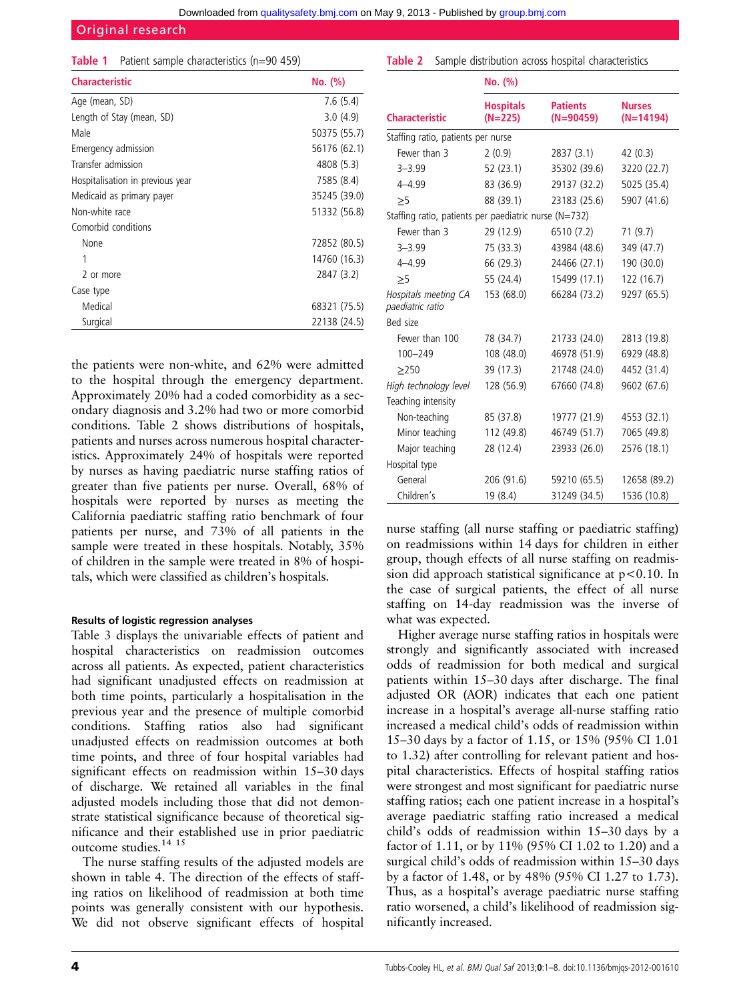## Original research

| Table 1 |  |  | Patient sample characteristics (n=90 459) |  |  |
|---------|--|--|-------------------------------------------|--|--|
|---------|--|--|-------------------------------------------|--|--|

| <b>Characteristic</b>            | No. (%)      |
|----------------------------------|--------------|
| Age (mean, SD)                   | 7.6(5.4)     |
| Length of Stay (mean, SD)        | 3.0(4.9)     |
| Male                             | 50375 (55.7) |
| Emergency admission              | 56176 (62.1) |
| Transfer admission               | 4808 (5.3)   |
| Hospitalisation in previous year | 7585 (8.4)   |
| Medicaid as primary payer        | 35245 (39.0) |
| Non-white race                   | 51332 (56.8) |
| Comorbid conditions              |              |
| None                             | 72852 (80.5) |
| 1                                | 14760 (16.3) |
| 2 or more                        | 2847 (3.2)   |
| Case type                        |              |
| Medical                          | 68321 (75.5) |
| Surgical                         | 22138 (24.5) |

the patients were non-white, and 62% were admitted to the hospital through the emergency department. Approximately 20% had a coded comorbidity as a secondary diagnosis and 3.2% had two or more comorbid conditions. Table 2 shows distributions of hospitals, patients and nurses across numerous hospital characteristics. Approximately 24% of hospitals were reported by nurses as having paediatric nurse staffing ratios of greater than five patients per nurse. Overall, 68% of hospitals were reported by nurses as meeting the California paediatric staffing ratio benchmark of four patients per nurse, and 73% of all patients in the sample were treated in these hospitals. Notably, 35% of children in the sample were treated in 8% of hospitals, which were classified as children's hospitals.

#### Results of logistic regression analyses

Table 3 displays the univariable effects of patient and hospital characteristics on readmission outcomes across all patients. As expected, patient characteristics had significant unadjusted effects on readmission at both time points, particularly a hospitalisation in the previous year and the presence of multiple comorbid conditions. Staffing ratios also had significant unadjusted effects on readmission outcomes at both time points, and three of four hospital variables had significant effects on readmission within 15–30 days of discharge. We retained all variables in the final adjusted models including those that did not demonstrate statistical significance because of theoretical significance and their established use in prior paediatric outcome studies.14 15

The nurse staffing results of the adjusted models are shown in table 4. The direction of the effects of staffing ratios on likelihood of readmission at both time points was generally consistent with our hypothesis. We did not observe significant effects of hospital

|                                                       | No. (%)                       |                                |                              |  |  |  |  |
|-------------------------------------------------------|-------------------------------|--------------------------------|------------------------------|--|--|--|--|
| <b>Characteristic</b>                                 | <b>Hospitals</b><br>$(N=225)$ | <b>Patients</b><br>$(N=90459)$ | <b>Nurses</b><br>$(N=14194)$ |  |  |  |  |
| Staffing ratio, patients per nurse                    |                               |                                |                              |  |  |  |  |
| Fewer than 3                                          | 2(0.9)                        | 2837(3.1)                      | 42 (0.3)                     |  |  |  |  |
| $3 - 3.99$                                            | 52 (23.1)                     | 35302 (39.6)                   | 3220 (22.7)                  |  |  |  |  |
| $4 - 4.99$                                            | 83 (36.9)                     | 29137 (32.2)                   | 5025 (35.4)                  |  |  |  |  |
| >5                                                    | 88 (39.1)                     | 23183 (25.6)                   | 5907 (41.6)                  |  |  |  |  |
| Staffing ratio, patients per paediatric nurse (N=732) |                               |                                |                              |  |  |  |  |
| Fewer than 3                                          | 29 (12.9)                     | 6510 (7.2)                     | 71 (9.7)                     |  |  |  |  |
| $3 - 3.99$                                            | 75 (33.3)                     | 43984 (48.6)                   | 349 (47.7)                   |  |  |  |  |
| $4 - 4.99$                                            | 66 (29.3)                     | 24466 (27.1)                   | 190 (30.0)                   |  |  |  |  |
| >5                                                    | 55 (24.4)                     | 15499 (17.1)                   | 122 (16.7)                   |  |  |  |  |
| Hospitals meeting CA<br>paediatric ratio              | 153 (68.0)                    | 66284 (73.2)                   | 9297 (65.5)                  |  |  |  |  |
| Bed size                                              |                               |                                |                              |  |  |  |  |
| Fewer than 100                                        | 78 (34.7)                     | 21733 (24.0)                   | 2813 (19.8)                  |  |  |  |  |
| $100 - 249$                                           | 108 (48.0)                    | 46978 (51.9)                   | 6929 (48.8)                  |  |  |  |  |
| >250                                                  | 39 (17.3)                     | 21748 (24.0)                   | 4452 (31.4)                  |  |  |  |  |
| High technology level                                 | 128 (56.9)                    | 67660 (74.8)                   | 9602 (67.6)                  |  |  |  |  |
| Teaching intensity                                    |                               |                                |                              |  |  |  |  |
| Non-teaching                                          | 85 (37.8)                     | 19777 (21.9)                   | 4553 (32.1)                  |  |  |  |  |
| Minor teaching                                        | 112 (49.8)                    | 46749 (51.7)                   | 7065 (49.8)                  |  |  |  |  |
| Major teaching                                        | 28 (12.4)                     | 23933 (26.0)                   | 2576 (18.1)                  |  |  |  |  |
| Hospital type                                         |                               |                                |                              |  |  |  |  |
| General                                               | 206 (91.6)                    | 59210 (65.5)                   | 12658 (89.2)                 |  |  |  |  |
| Children's                                            | 19 (8.4)                      | 31249 (34.5)                   | 1536 (10.8)                  |  |  |  |  |

**Table 2** Sample distribution across hospital characteristics

nurse staffing (all nurse staffing or paediatric staffing) on readmissions within 14 days for children in either group, though effects of all nurse staffing on readmission did approach statistical significance at  $p<0.10$ . In the case of surgical patients, the effect of all nurse staffing on 14-day readmission was the inverse of what was expected.

Higher average nurse staffing ratios in hospitals were strongly and significantly associated with increased odds of readmission for both medical and surgical patients within 15–30 days after discharge. The final adjusted OR (AOR) indicates that each one patient increase in a hospital's average all-nurse staffing ratio increased a medical child's odds of readmission within 15–30 days by a factor of 1.15, or 15% (95% CI 1.01 to 1.32) after controlling for relevant patient and hospital characteristics. Effects of hospital staffing ratios were strongest and most significant for paediatric nurse staffing ratios; each one patient increase in a hospital's average paediatric staffing ratio increased a medical child's odds of readmission within 15–30 days by a factor of 1.11, or by 11% (95% CI 1.02 to 1.20) and a surgical child's odds of readmission within 15–30 days by a factor of 1.48, or by 48% (95% CI 1.27 to 1.73). Thus, as a hospital's average paediatric nurse staffing ratio worsened, a child's likelihood of readmission significantly increased.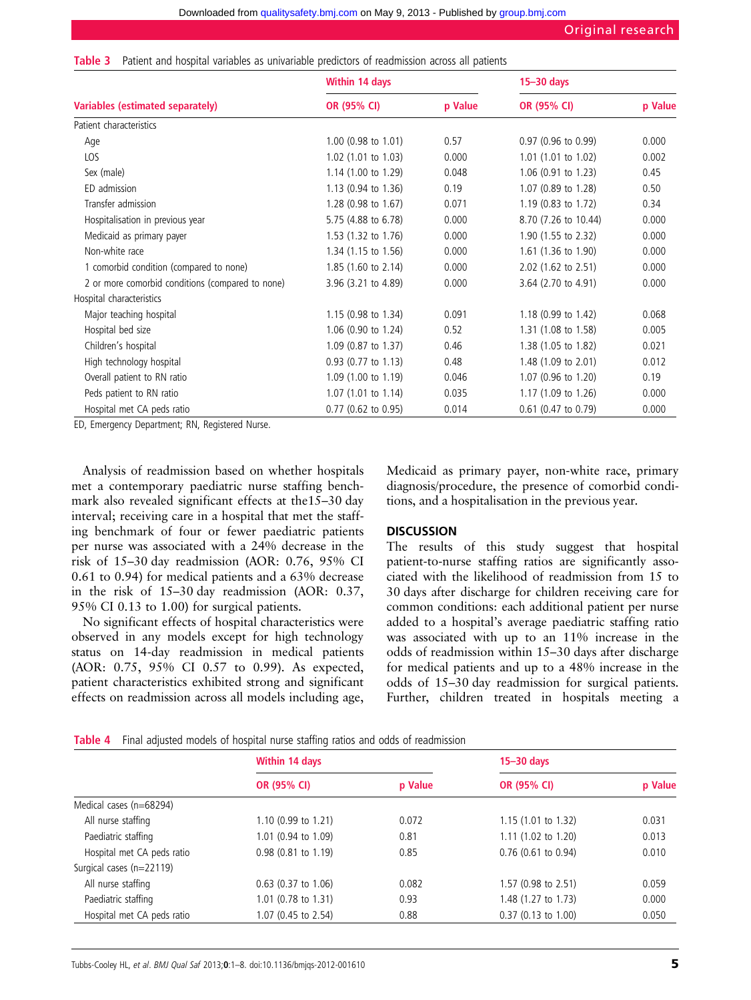|  |  |  |  |  |  |  |  | <b>Table 3</b> Patient and hospital variables as univariable predictors of readmission across all patients |  |  |
|--|--|--|--|--|--|--|--|------------------------------------------------------------------------------------------------------------|--|--|
|  |  |  |  |  |  |  |  |                                                                                                            |  |  |

|                                                  | <b>Within 14 days</b>          | $15 - 30$ days |                                |         |  |
|--------------------------------------------------|--------------------------------|----------------|--------------------------------|---------|--|
| Variables (estimated separately)                 | OR (95% CI)                    | p Value        | OR (95% CI)                    | p Value |  |
| Patient characteristics                          |                                |                |                                |         |  |
| Age                                              | 1.00 (0.98 to 1.01)            | 0.57           | $0.97$ (0.96 to 0.99)          | 0.000   |  |
| LOS                                              | 1.02 (1.01 to 1.03)            | 0.000          | 1.01 (1.01 to 1.02)            | 0.002   |  |
| Sex (male)                                       | 1.14 (1.00 to 1.29)            | 0.048          | 1.06 (0.91 to 1.23)            | 0.45    |  |
| ED admission                                     | $1.13$ (0.94 to 1.36)          | 0.19           | 1.07 (0.89 to 1.28)            | 0.50    |  |
| Transfer admission                               | 1.28 (0.98 to 1.67)            | 0.071          | 1.19 (0.83 to 1.72)            | 0.34    |  |
| Hospitalisation in previous year                 | 5.75 (4.88 to 6.78)            | 0.000          | 8.70 (7.26 to 10.44)           | 0.000   |  |
| Medicaid as primary payer                        | 1.53 (1.32 to 1.76)            | 0.000          | 1.90 (1.55 to 2.32)            | 0.000   |  |
| Non-white race                                   | 1.34 (1.15 to 1.56)            | 0.000          | 1.61 (1.36 to 1.90)            | 0.000   |  |
| 1 comorbid condition (compared to none)          | $1.85(1.60 \text{ to } 2.14)$  | 0.000          | $2.02$ (1.62 to 2.51)          | 0.000   |  |
| 2 or more comorbid conditions (compared to none) | 3.96 (3.21 to 4.89)            | 0.000          | 3.64 (2.70 to 4.91)            | 0.000   |  |
| Hospital characteristics                         |                                |                |                                |         |  |
| Major teaching hospital                          | 1.15 $(0.98 \text{ to } 1.34)$ | 0.091          | 1.18 (0.99 to 1.42)            | 0.068   |  |
| Hospital bed size                                | 1.06 (0.90 to 1.24)            | 0.52           | 1.31 (1.08 to 1.58)            | 0.005   |  |
| Children's hospital                              | 1.09 (0.87 to 1.37)            | 0.46           | 1.38 (1.05 to 1.82)            | 0.021   |  |
| High technology hospital                         | 0.93 (0.77 to 1.13)            | 0.48           | 1.48 (1.09 to 2.01)            | 0.012   |  |
| Overall patient to RN ratio                      | 1.09 (1.00 to 1.19)            | 0.046          | 1.07 (0.96 to 1.20)            | 0.19    |  |
| Peds patient to RN ratio                         | $1.07$ (1.01 to 1.14)          | 0.035          | 1.17 $(1.09 \text{ to } 1.26)$ | 0.000   |  |
| Hospital met CA peds ratio                       | 0.77 (0.62 to 0.95)            | 0.014          | 0.61 (0.47 to 0.79)            | 0.000   |  |

ED, Emergency Department; RN, Registered Nurse.

Analysis of readmission based on whether hospitals met a contemporary paediatric nurse staffing benchmark also revealed significant effects at the15–30 day interval; receiving care in a hospital that met the staffing benchmark of four or fewer paediatric patients per nurse was associated with a 24% decrease in the risk of 15–30 day readmission (AOR: 0.76, 95% CI 0.61 to 0.94) for medical patients and a 63% decrease in the risk of 15–30 day readmission (AOR: 0.37, 95% CI 0.13 to 1.00) for surgical patients.

No significant effects of hospital characteristics were observed in any models except for high technology status on 14-day readmission in medical patients (AOR: 0.75, 95% CI 0.57 to 0.99). As expected, patient characteristics exhibited strong and significant effects on readmission across all models including age, Medicaid as primary payer, non-white race, primary diagnosis/procedure, the presence of comorbid conditions, and a hospitalisation in the previous year.

#### **DISCUSSION**

The results of this study suggest that hospital patient-to-nurse staffing ratios are significantly associated with the likelihood of readmission from 15 to 30 days after discharge for children receiving care for common conditions: each additional patient per nurse added to a hospital's average paediatric staffing ratio was associated with up to an 11% increase in the odds of readmission within 15–30 days after discharge for medical patients and up to a 48% increase in the odds of 15–30 day readmission for surgical patients. Further, children treated in hospitals meeting a

Table 4 Final adjusted models of hospital nurse staffing ratios and odds of readmission

|                            | Within 14 days        |         | $15 - 30$ days        |         |  |
|----------------------------|-----------------------|---------|-----------------------|---------|--|
|                            | <b>OR (95% CI)</b>    | p Value | <b>OR (95% CI)</b>    | p Value |  |
| Medical cases (n=68294)    |                       |         |                       |         |  |
| All nurse staffing         | 1.10 (0.99 to 1.21)   | 0.072   | 1.15(1.01 to 1.32)    | 0.031   |  |
| Paediatric staffing        | 1.01 (0.94 to 1.09)   | 0.81    | $1.11$ (1.02 to 1.20) | 0.013   |  |
| Hospital met CA peds ratio | $0.98$ (0.81 to 1.19) | 0.85    | $0.76$ (0.61 to 0.94) | 0.010   |  |
| Surgical cases (n=22119)   |                       |         |                       |         |  |
| All nurse staffing         | $0.63$ (0.37 to 1.06) | 0.082   | 1.57 (0.98 to 2.51)   | 0.059   |  |
| Paediatric staffing        | 1.01 (0.78 to 1.31)   | 0.93    | 1.48 (1.27 to 1.73)   | 0.000   |  |
| Hospital met CA peds ratio | 1.07 (0.45 to 2.54)   | 0.88    | $0.37$ (0.13 to 1.00) | 0.050   |  |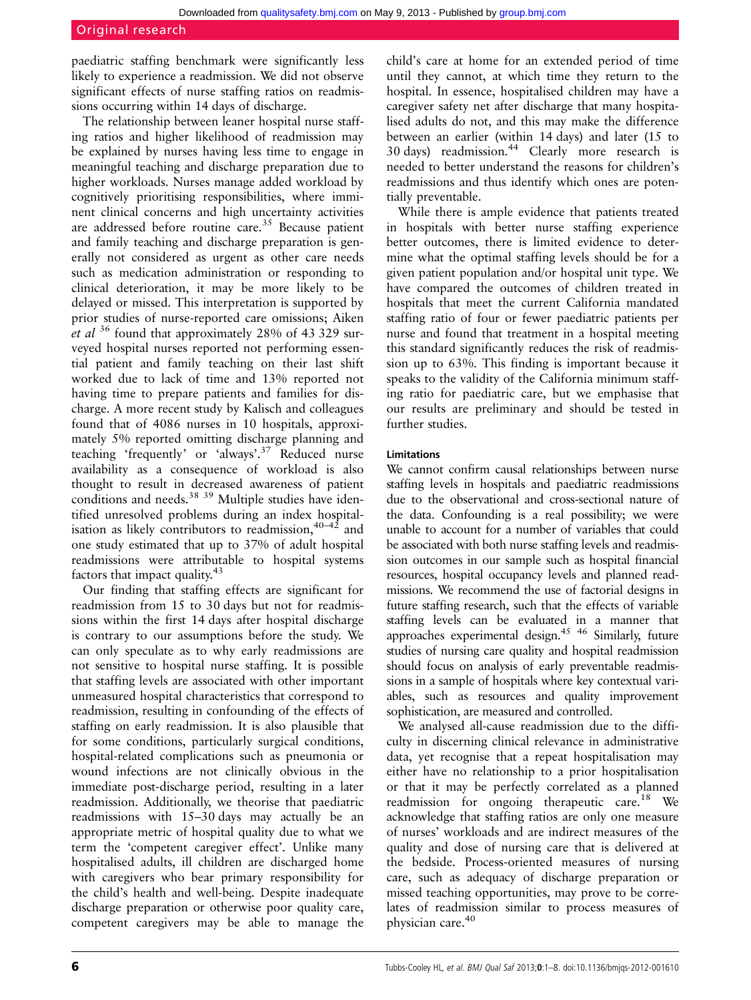paediatric staffing benchmark were significantly less likely to experience a readmission. We did not observe significant effects of nurse staffing ratios on readmissions occurring within 14 days of discharge.

The relationship between leaner hospital nurse staffing ratios and higher likelihood of readmission may be explained by nurses having less time to engage in meaningful teaching and discharge preparation due to higher workloads. Nurses manage added workload by cognitively prioritising responsibilities, where imminent clinical concerns and high uncertainty activities are addressed before routine care.<sup>35</sup> Because patient and family teaching and discharge preparation is generally not considered as urgent as other care needs such as medication administration or responding to clinical deterioration, it may be more likely to be delayed or missed. This interpretation is supported by prior studies of nurse-reported care omissions; Aiken et al  $36$  found that approximately 28% of 43 329 surveyed hospital nurses reported not performing essential patient and family teaching on their last shift worked due to lack of time and 13% reported not having time to prepare patients and families for discharge. A more recent study by Kalisch and colleagues found that of 4086 nurses in 10 hospitals, approximately 5% reported omitting discharge planning and teaching 'frequently' or 'always'. <sup>37</sup> Reduced nurse availability as a consequence of workload is also thought to result in decreased awareness of patient conditions and needs.<sup>38</sup> <sup>39</sup> Multiple studies have identified unresolved problems during an index hospitalisation as likely contributors to readmission,  $40-42$  and one study estimated that up to 37% of adult hospital readmissions were attributable to hospital systems factors that impact quality.<sup>43</sup>

Our finding that staffing effects are significant for readmission from 15 to 30 days but not for readmissions within the first 14 days after hospital discharge is contrary to our assumptions before the study. We can only speculate as to why early readmissions are not sensitive to hospital nurse staffing. It is possible that staffing levels are associated with other important unmeasured hospital characteristics that correspond to readmission, resulting in confounding of the effects of staffing on early readmission. It is also plausible that for some conditions, particularly surgical conditions, hospital-related complications such as pneumonia or wound infections are not clinically obvious in the immediate post-discharge period, resulting in a later readmission. Additionally, we theorise that paediatric readmissions with 15–30 days may actually be an appropriate metric of hospital quality due to what we term the 'competent caregiver effect'. Unlike many hospitalised adults, ill children are discharged home with caregivers who bear primary responsibility for the child's health and well-being. Despite inadequate discharge preparation or otherwise poor quality care, competent caregivers may be able to manage the

child's care at home for an extended period of time until they cannot, at which time they return to the hospital. In essence, hospitalised children may have a caregiver safety net after discharge that many hospitalised adults do not, and this may make the difference between an earlier (within 14 days) and later (15 to 30 days) readmission.<sup>44</sup> Clearly more research is needed to better understand the reasons for children's readmissions and thus identify which ones are potentially preventable.

While there is ample evidence that patients treated in hospitals with better nurse staffing experience better outcomes, there is limited evidence to determine what the optimal staffing levels should be for a given patient population and/or hospital unit type. We have compared the outcomes of children treated in hospitals that meet the current California mandated staffing ratio of four or fewer paediatric patients per nurse and found that treatment in a hospital meeting this standard significantly reduces the risk of readmission up to 63%. This finding is important because it speaks to the validity of the California minimum staffing ratio for paediatric care, but we emphasise that our results are preliminary and should be tested in further studies.

### Limitations

We cannot confirm causal relationships between nurse staffing levels in hospitals and paediatric readmissions due to the observational and cross-sectional nature of the data. Confounding is a real possibility; we were unable to account for a number of variables that could be associated with both nurse staffing levels and readmission outcomes in our sample such as hospital financial resources, hospital occupancy levels and planned readmissions. We recommend the use of factorial designs in future staffing research, such that the effects of variable staffing levels can be evaluated in a manner that approaches experimental design.45 46 Similarly, future studies of nursing care quality and hospital readmission should focus on analysis of early preventable readmissions in a sample of hospitals where key contextual variables, such as resources and quality improvement sophistication, are measured and controlled.

We analysed all-cause readmission due to the difficulty in discerning clinical relevance in administrative data, yet recognise that a repeat hospitalisation may either have no relationship to a prior hospitalisation or that it may be perfectly correlated as a planned readmission for ongoing therapeutic care.<sup>18</sup> We acknowledge that staffing ratios are only one measure of nurses' workloads and are indirect measures of the quality and dose of nursing care that is delivered at the bedside. Process-oriented measures of nursing care, such as adequacy of discharge preparation or missed teaching opportunities, may prove to be correlates of readmission similar to process measures of physician care.40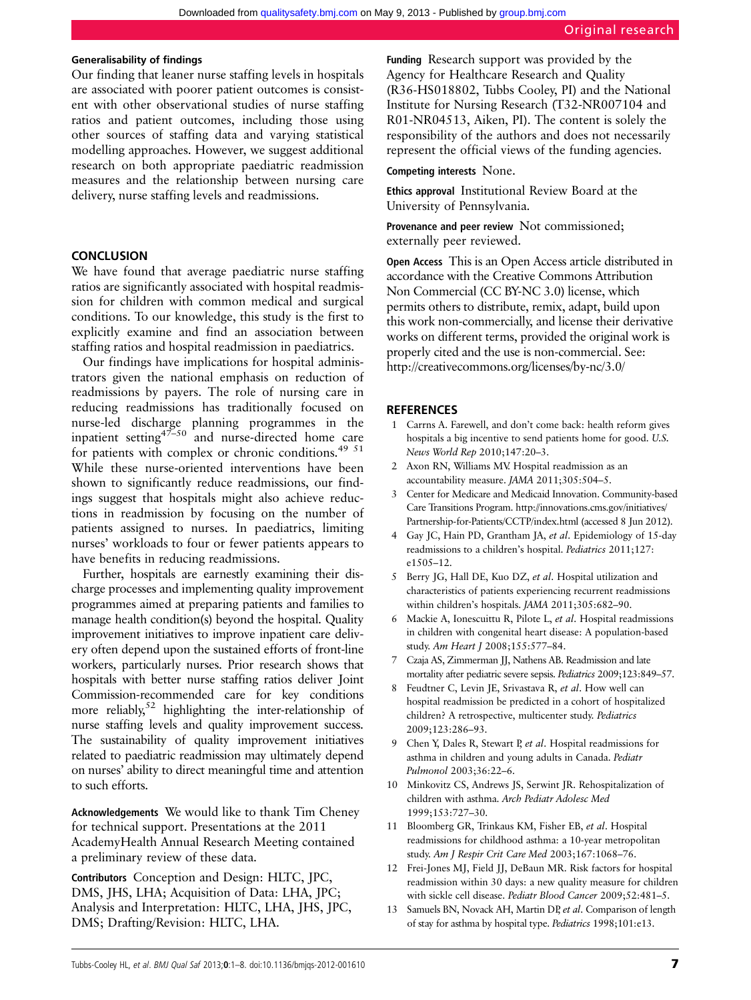#### Generalisability of findings

Our finding that leaner nurse staffing levels in hospitals are associated with poorer patient outcomes is consistent with other observational studies of nurse staffing ratios and patient outcomes, including those using other sources of staffing data and varying statistical modelling approaches. However, we suggest additional research on both appropriate paediatric readmission measures and the relationship between nursing care delivery, nurse staffing levels and readmissions.

#### **CONCLUSION**

We have found that average paediatric nurse staffing ratios are significantly associated with hospital readmission for children with common medical and surgical conditions. To our knowledge, this study is the first to explicitly examine and find an association between staffing ratios and hospital readmission in paediatrics.

Our findings have implications for hospital administrators given the national emphasis on reduction of readmissions by payers. The role of nursing care in reducing readmissions has traditionally focused on nurse-led discharge planning programmes in the inpatient setting $47-50$  and nurse-directed home care for patients with complex or chronic conditions.<sup>49 51</sup> While these nurse-oriented interventions have been shown to significantly reduce readmissions, our findings suggest that hospitals might also achieve reductions in readmission by focusing on the number of patients assigned to nurses. In paediatrics, limiting nurses' workloads to four or fewer patients appears to have benefits in reducing readmissions.

Further, hospitals are earnestly examining their discharge processes and implementing quality improvement programmes aimed at preparing patients and families to manage health condition(s) beyond the hospital. Quality improvement initiatives to improve inpatient care delivery often depend upon the sustained efforts of front-line workers, particularly nurses. Prior research shows that hospitals with better nurse staffing ratios deliver Joint Commission-recommended care for key conditions more reliably, $52$  highlighting the inter-relationship of nurse staffing levels and quality improvement success. The sustainability of quality improvement initiatives related to paediatric readmission may ultimately depend on nurses' ability to direct meaningful time and attention to such efforts.

Acknowledgements We would like to thank Tim Cheney for technical support. Presentations at the 2011 AcademyHealth Annual Research Meeting contained a preliminary review of these data.

Contributors Conception and Design: HLTC, JPC, DMS, JHS, LHA; Acquisition of Data: LHA, JPC; Analysis and Interpretation: HLTC, LHA, JHS, JPC, DMS; Drafting/Revision: HLTC, LHA.

Funding Research support was provided by the Agency for Healthcare Research and Quality (R36-HS018802, Tubbs Cooley, PI) and the National Institute for Nursing Research (T32-NR007104 and R01-NR04513, Aiken, PI). The content is solely the responsibility of the authors and does not necessarily represent the official views of the funding agencies.

#### Competing interests None.

Ethics approval Institutional Review Board at the University of Pennsylvania.

Provenance and peer review Not commissioned; externally peer reviewed.

Open Access This is an Open Access article distributed in accordance with the Creative Commons Attribution Non Commercial (CC BY-NC 3.0) license, which permits others to distribute, remix, adapt, build upon this work non-commercially, and license their derivative works on different terms, provided the original work is properly cited and the use is non-commercial. See: http://creativecommons.org/licenses/by-nc/3.0/

#### **REFERENCES**

- Carrns A. Farewell, and don't come back: health reform gives hospitals a big incentive to send patients home for good. U.S. News World Rep 2010;147:20–3.
- 2 Axon RN, Williams MV. Hospital readmission as an accountability measure. JAMA 2011;305:504–5.
- 3 Center for Medicare and Medicaid Innovation. Community-based Care Transitions Program. [http://innovations.cms.gov/initiatives/](http://innovations.cms.gov/initiatives/Partnership-for-Patients/CCTP/index.html) [Partnership-for-Patients/CCTP/index.html](http://innovations.cms.gov/initiatives/Partnership-for-Patients/CCTP/index.html) (accessed 8 Jun 2012).
- 4 Gay JC, Hain PD, Grantham JA, et al. Epidemiology of 15-day readmissions to a children's hospital. Pediatrics 2011;127: e1505–12.
- 5 Berry JG, Hall DE, Kuo DZ, et al. Hospital utilization and characteristics of patients experiencing recurrent readmissions within children's hospitals. JAMA 2011;305:682–90.
- 6 Mackie A, Ionescuittu R, Pilote L, et al. Hospital readmissions in children with congenital heart disease: A population-based study. Am Heart J 2008;155:577–84.
- 7 Czaja AS, Zimmerman JJ, Nathens AB. Readmission and late mortality after pediatric severe sepsis. Pediatrics 2009;123:849–57.
- Feudtner C, Levin JE, Srivastava R, et al. How well can hospital readmission be predicted in a cohort of hospitalized children? A retrospective, multicenter study. Pediatrics 2009;123:286–93.
- Chen Y, Dales R, Stewart P, et al. Hospital readmissions for asthma in children and young adults in Canada. Pediatr Pulmonol 2003;36:22–6.
- 10 Minkovitz CS, Andrews JS, Serwint JR. Rehospitalization of children with asthma. Arch Pediatr Adolesc Med 1999;153:727–30.
- 11 Bloomberg GR, Trinkaus KM, Fisher EB, et al. Hospital readmissions for childhood asthma: a 10-year metropolitan study. Am J Respir Crit Care Med 2003;167:1068–76.
- 12 Frei-Jones MJ, Field JJ, DeBaun MR. Risk factors for hospital readmission within 30 days: a new quality measure for children with sickle cell disease. Pediatr Blood Cancer 2009;52:481–5.
- 13 Samuels BN, Novack AH, Martin DP, et al. Comparison of length of stay for asthma by hospital type. Pediatrics 1998;101:e13.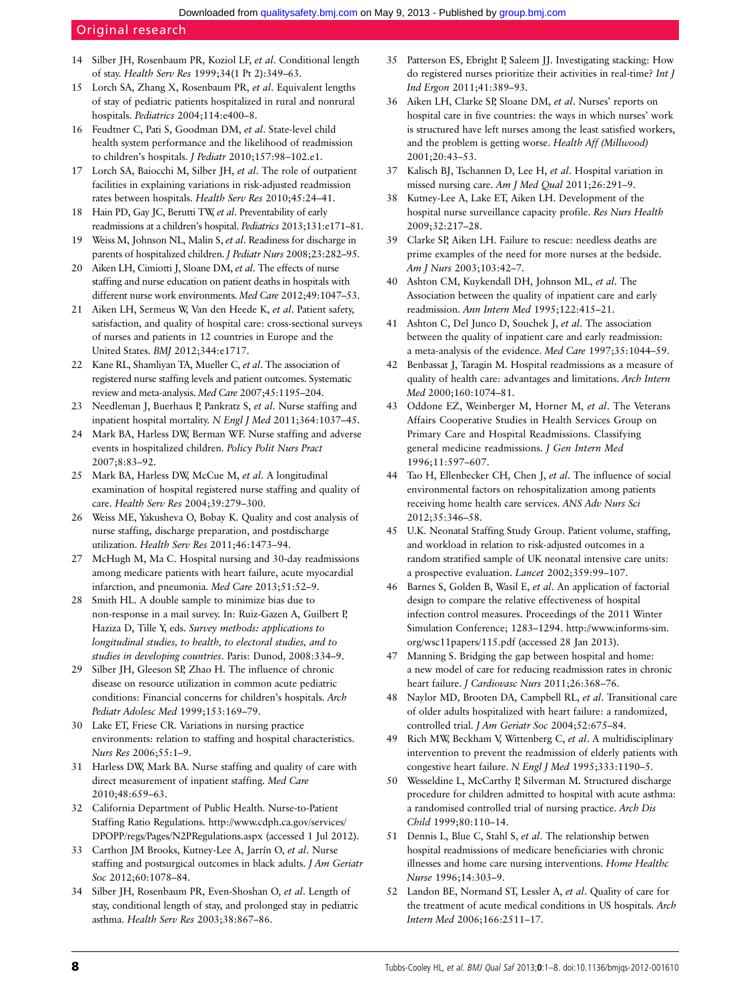## Original research

- 14 Silber JH, Rosenbaum PR, Koziol LF, et al. Conditional length of stay. Health Serv Res 1999;34(1 Pt 2):349–63.
- 15 Lorch SA, Zhang X, Rosenbaum PR, et al. Equivalent lengths of stay of pediatric patients hospitalized in rural and nonrural hospitals. Pediatrics 2004;114:e400-8.
- 16 Feudtner C, Pati S, Goodman DM, et al. State-level child health system performance and the likelihood of readmission to children's hospitals. *J Pediatr* 2010;157:98-102.e1.
- 17 Lorch SA, Baiocchi M, Silber JH, et al. The role of outpatient facilities in explaining variations in risk-adjusted readmission rates between hospitals. Health Serv Res 2010;45:24–41.
- 18 Hain PD, Gay JC, Berutti TW, et al. Preventability of early readmissions at a children's hospital. Pediatrics 2013;131:e171–81.
- 19 Weiss M, Johnson NL, Malin S, et al. Readiness for discharge in parents of hospitalized children. J Pediatr Nurs 2008;23:282-95.
- 20 Aiken LH, Cimiotti J, Sloane DM, et al. The effects of nurse staffing and nurse education on patient deaths in hospitals with different nurse work environments. Med Care 2012;49:1047–53.
- 21 Aiken LH, Sermeus W, Van den Heede K, et al. Patient safety, satisfaction, and quality of hospital care: cross-sectional surveys of nurses and patients in 12 countries in Europe and the United States. BMJ 2012;344:e1717.
- 22 Kane RL, Shamliyan TA, Mueller C, et al. The association of registered nurse staffing levels and patient outcomes. Systematic review and meta-analysis. Med Care 2007;45:1195–204.
- 23 Needleman J, Buerhaus P, Pankratz S, et al. Nurse staffing and inpatient hospital mortality. N Engl J Med 2011;364:1037–45.
- 24 Mark BA, Harless DW, Berman WF. Nurse staffing and adverse events in hospitalized children. Policy Polit Nurs Pract 2007;8:83–92.
- 25 Mark BA, Harless DW, McCue M, et al. A longitudinal examination of hospital registered nurse staffing and quality of care. Health Serv Res 2004;39:279–300.
- 26 Weiss ME, Yakusheva O, Bobay K. Quality and cost analysis of nurse staffing, discharge preparation, and postdischarge utilization. Health Serv Res 2011;46:1473–94.
- 27 McHugh M, Ma C. Hospital nursing and 30-day readmissions among medicare patients with heart failure, acute myocardial infarction, and pneumonia. Med Care 2013;51:52–9.
- 28 Smith HL. A double sample to minimize bias due to non-response in a mail survey. In: Ruiz-Gazen A, Guilbert P, Haziza D, Tille Y, eds. Survey methods: applications to longitudinal studies, to health, to electoral studies, and to studies in developing countries. Paris: Dunod, 2008:334–9.
- 29 Silber JH, Gleeson SP, Zhao H. The influence of chronic disease on resource utilization in common acute pediatric conditions: Financial concerns for children's hospitals. Arch Pediatr Adolesc Med 1999;153:169–79.
- 30 Lake ET, Friese CR. Variations in nursing practice environments: relation to staffing and hospital characteristics. Nurs Res 2006;55:1–9.
- 31 Harless DW, Mark BA. Nurse staffing and quality of care with direct measurement of inpatient staffing. Med Care 2010;48:659–63.
- 32 California Department of Public Health. Nurse-to-Patient Staffing Ratio Regulations. [http://www.cdph.ca.gov/services/](http://www.cdph.ca.gov/services/DPOPP/regs/Pages/N2PRegulations.aspx) [DPOPP/regs/Pages/N2PRegulations.aspx](http://www.cdph.ca.gov/services/DPOPP/regs/Pages/N2PRegulations.aspx) (accessed 1 Jul 2012).
- 33 Carthon JM Brooks, Kutney-Lee A, Jarrín O, et al. Nurse staffing and postsurgical outcomes in black adults. J Am Geriatr Soc 2012;60:1078–84.
- 34 Silber JH, Rosenbaum PR, Even-Shoshan O, et al. Length of stay, conditional length of stay, and prolonged stay in pediatric asthma. Health Serv Res 2003;38:867–86.
- 35 Patterson ES, Ebright P, Saleem JJ. Investigating stacking: How do registered nurses prioritize their activities in real-time? Int J Ind Ergon 2011;41:389–93.
- 36 Aiken LH, Clarke SP, Sloane DM, et al. Nurses' reports on hospital care in five countries: the ways in which nurses' work is structured have left nurses among the least satisfied workers, and the problem is getting worse. Health Aff (Millwood) 2001;20:43–53.
- 37 Kalisch BJ, Tschannen D, Lee H, et al. Hospital variation in missed nursing care. Am J Med Qual 2011;26:291–9.
- 38 Kutney-Lee A, Lake ET, Aiken LH. Development of the hospital nurse surveillance capacity profile. Res Nurs Health 2009;32:217–28.
- 39 Clarke SP, Aiken LH. Failure to rescue: needless deaths are prime examples of the need for more nurses at the bedside. Am J Nurs 2003;103:42–7.
- 40 Ashton CM, Kuykendall DH, Johnson ML, et al. The Association between the quality of inpatient care and early readmission. Ann Intern Med 1995;122:415–21.
- 41 Ashton C, Del Junco D, Souchek J, et al. The association between the quality of inpatient care and early readmission: a meta-analysis of the evidence. Med Care 1997;35:1044–59.
- 42 Benbassat J, Taragin M. Hospital readmissions as a measure of quality of health care: advantages and limitations. Arch Intern Med 2000;160:1074–81.
- 43 Oddone EZ, Weinberger M, Horner M, et al. The Veterans Affairs Cooperative Studies in Health Services Group on Primary Care and Hospital Readmissions. Classifying general medicine readmissions. J Gen Intern Med 1996;11:597–607.
- 44 Tao H, Ellenbecker CH, Chen J, et al. The influence of social environmental factors on rehospitalization among patients receiving home health care services. ANS Adv Nurs Sci 2012;35:346–58.
- 45 U.K. Neonatal Staffing Study Group. Patient volume, staffing, and workload in relation to risk-adjusted outcomes in a random stratified sample of UK neonatal intensive care units: a prospective evaluation. Lancet 2002;359:99–107.
- 46 Barnes S, Golden B, Wasil E, et al. An application of factorial design to compare the relative effectiveness of hospital infection control measures. Proceedings of the 2011 Winter Simulation Conference; 1283–1294. [http://www.informs-sim.](http://www.informs-sim.org/wsc11papers/115.pdf) [org/wsc11papers/115.pdf](http://www.informs-sim.org/wsc11papers/115.pdf) (accessed 28 Jan 2013).
- 47 Manning S. Bridging the gap between hospital and home: a new model of care for reducing readmission rates in chronic heart failure. *J Cardiovasc Nurs* 2011;26:368-76.
- 48 Naylor MD, Brooten DA, Campbell RL, et al. Transitional care of older adults hospitalized with heart failure: a randomized, controlled trial. J Am Geriatr Soc 2004;52:675-84.
- 49 Rich MW, Beckham V, Wittenberg C, et al. A multidisciplinary intervention to prevent the readmission of elderly patients with congestive heart failure. N Engl J Med 1995;333:1190-5.
- 50 Wesseldine L, McCarthy P, Silverman M. Structured discharge procedure for children admitted to hospital with acute asthma: a randomised controlled trial of nursing practice. Arch Dis Child 1999;80:110–14.
- 51 Dennis L, Blue C, Stahl S, et al. The relationship betwen hospital readmissions of medicare beneficiaries with chronic illnesses and home care nursing interventions. Home Healthc Nurse 1996;14:303–9.
- 52 Landon BE, Normand ST, Lessler A, et al. Quality of care for the treatment of acute medical conditions in US hospitals. Arch Intern Med 2006;166:2511–17.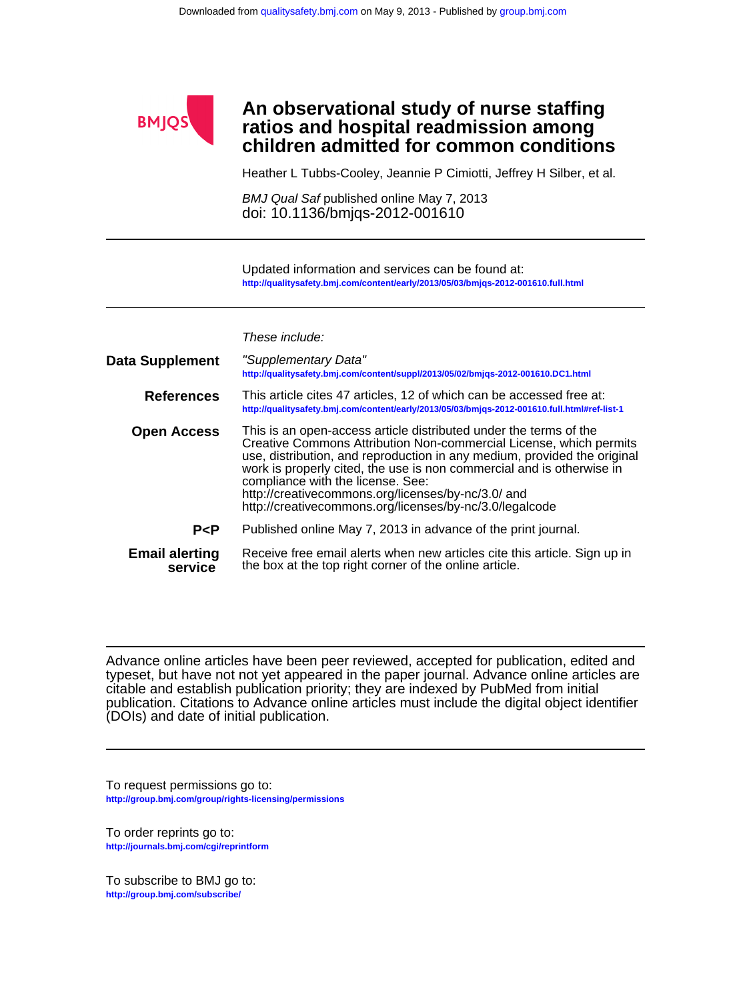

## **children admitted for common conditions ratios and hospital readmission among An observational study of nurse staffing**

Heather L Tubbs-Cooley, Jeannie P Cimiotti, Jeffrey H Silber, et al.

doi: 10.1136/bmjqs-2012-001610 BMJ Qual Saf published online May 7, 2013

**<http://qualitysafety.bmj.com/content/early/2013/05/03/bmjqs-2012-001610.full.html>** Updated information and services can be found at:

These include:

| Data Supplement                  | "Supplementary Data"<br>http://qualitysafety.bmj.com/content/suppl/2013/05/02/bmjqs-2012-001610.DC1.html                                                                                                                                                                                                                                                                                                                                           |
|----------------------------------|----------------------------------------------------------------------------------------------------------------------------------------------------------------------------------------------------------------------------------------------------------------------------------------------------------------------------------------------------------------------------------------------------------------------------------------------------|
| <b>References</b>                | This article cites 47 articles, 12 of which can be accessed free at:<br>http://qualitysafety.bmj.com/content/early/2013/05/03/bmjqs-2012-001610.full.html#ref-list-1                                                                                                                                                                                                                                                                               |
| <b>Open Access</b>               | This is an open-access article distributed under the terms of the<br>Creative Commons Attribution Non-commercial License, which permits<br>use, distribution, and reproduction in any medium, provided the original<br>work is properly cited, the use is non commercial and is otherwise in<br>compliance with the license. See:<br>http://creativecommons.org/licenses/by-nc/3.0/ and<br>http://creativecommons.org/licenses/by-nc/3.0/legalcode |
| P < P                            | Published online May 7, 2013 in advance of the print journal.                                                                                                                                                                                                                                                                                                                                                                                      |
| <b>Email alerting</b><br>service | Receive free email alerts when new articles cite this article. Sign up in<br>the box at the top right corner of the online article.                                                                                                                                                                                                                                                                                                                |

(DOIs) and date of initial publication. publication. Citations to Advance online articles must include the digital object identifier citable and establish publication priority; they are indexed by PubMed from initial typeset, but have not not yet appeared in the paper journal. Advance online articles are Advance online articles have been peer reviewed, accepted for publication, edited and

**<http://group.bmj.com/group/rights-licensing/permissions>** To request permissions go to:

**<http://journals.bmj.com/cgi/reprintform>** To order reprints go to:

**<http://group.bmj.com/subscribe/>** To subscribe to BMJ go to: